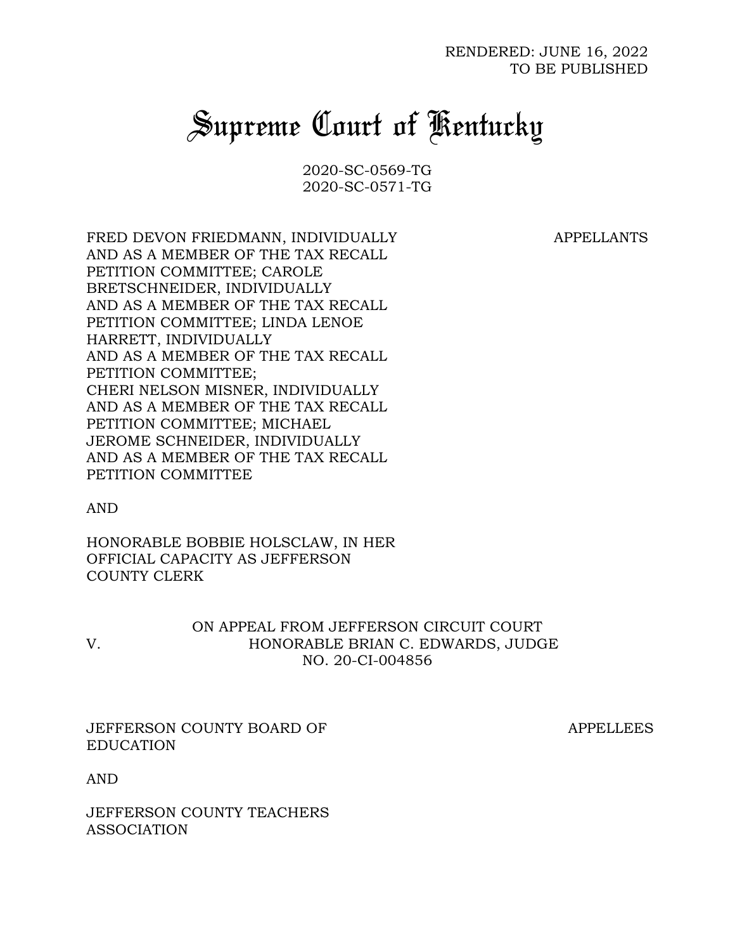# *Supreme Court of Kentucky*

2020-SC-0569-TG 2020-SC-0571-TG

APPELLANTS

FRED DEVON FRIEDMANN, INDIVIDUALLY AND AS A MEMBER OF THE TAX RECALL PETITION COMMITTEE; CAROLE BRETSCHNEIDER, INDIVIDUALLY AND AS A MEMBER OF THE TAX RECALL PETITION COMMITTEE; LINDA LENOE HARRETT, INDIVIDUALLY AND AS A MEMBER OF THE TAX RECALL PETITION COMMITTEE; CHERI NELSON MISNER, INDIVIDUALLY AND AS A MEMBER OF THE TAX RECALL PETITION COMMITTEE; MICHAEL JEROME SCHNEIDER, INDIVIDUALLY AND AS A MEMBER OF THE TAX RECALL PETITION COMMITTEE

AND

HONORABLE BOBBIE HOLSCLAW, IN HER OFFICIAL CAPACITY AS JEFFERSON COUNTY CLERK

# ON APPEAL FROM JEFFERSON CIRCUIT COURT V. HONORABLE BRIAN C. EDWARDS, JUDGE NO. 20-CI-004856

JEFFERSON COUNTY BOARD OF EDUCATION

APPELLEES

AND

JEFFERSON COUNTY TEACHERS ASSOCIATION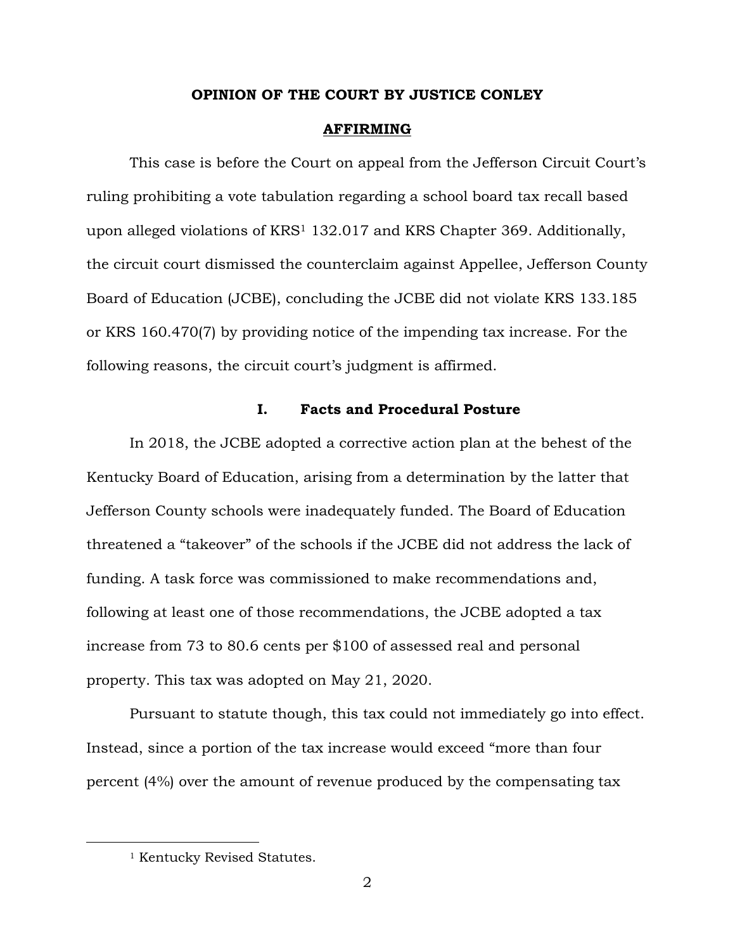## **OPINION OF THE COURT BY JUSTICE CONLEY**

#### **AFFIRMING**

This case is before the Court on appeal from the Jefferson Circuit Court's ruling prohibiting a vote tabulation regarding a school board tax recall based upon alleged violations of KRS<sup>1</sup> 132.017 and KRS Chapter 369. Additionally, the circuit court dismissed the counterclaim against Appellee, Jefferson County Board of Education (JCBE), concluding the JCBE did not violate KRS 133.185 or KRS 160.470(7) by providing notice of the impending tax increase. For the following reasons, the circuit court's judgment is affirmed.

## **I. Facts and Procedural Posture**

In 2018, the JCBE adopted a corrective action plan at the behest of the Kentucky Board of Education, arising from a determination by the latter that Jefferson County schools were inadequately funded. The Board of Education threatened a "takeover" of the schools if the JCBE did not address the lack of funding. A task force was commissioned to make recommendations and, following at least one of those recommendations, the JCBE adopted a tax increase from 73 to 80.6 cents per \$100 of assessed real and personal property. This tax was adopted on May 21, 2020.

Pursuant to statute though, this tax could not immediately go into effect. Instead, since a portion of the tax increase would exceed "more than four percent (4%) over the amount of revenue produced by the compensating tax

<sup>&</sup>lt;sup>1</sup> Kentucky Revised Statutes.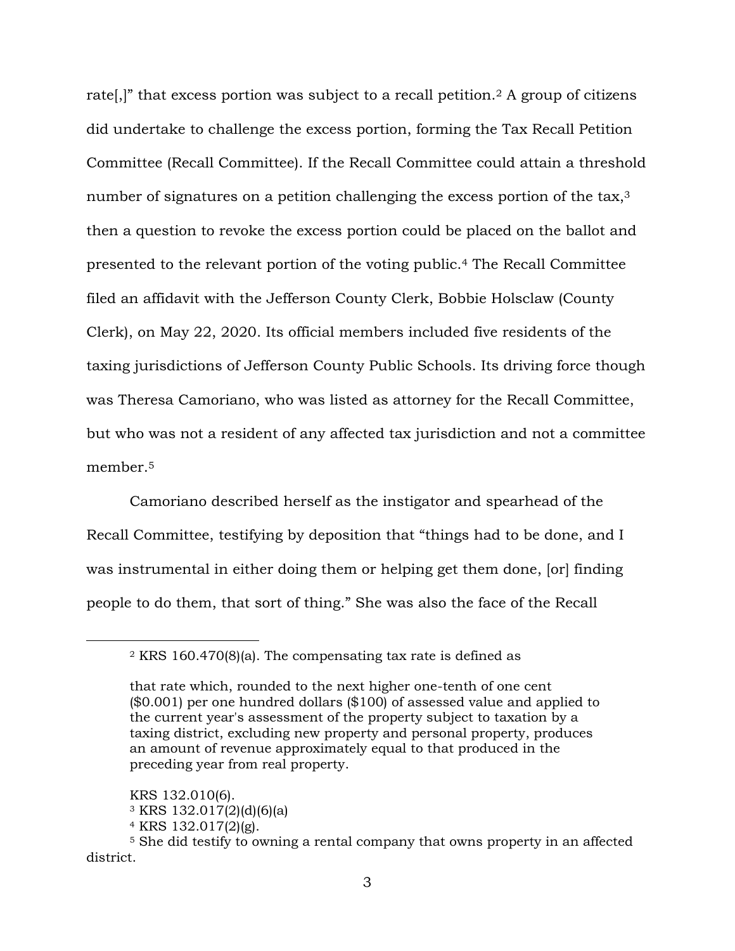rate, "that excess portion was subject to a recall petition.<sup>2</sup> A group of citizens did undertake to challenge the excess portion, forming the Tax Recall Petition Committee (Recall Committee). If the Recall Committee could attain a threshold number of signatures on a petition challenging the excess portion of the tax,<sup>3</sup> then a question to revoke the excess portion could be placed on the ballot and presented to the relevant portion of the voting public.<sup>4</sup> The Recall Committee filed an affidavit with the Jefferson County Clerk, Bobbie Holsclaw (County Clerk), on May 22, 2020. Its official members included five residents of the taxing jurisdictions of Jefferson County Public Schools. Its driving force though was Theresa Camoriano, who was listed as attorney for the Recall Committee, but who was not a resident of any affected tax jurisdiction and not a committee member.<sup>5</sup>

Camoriano described herself as the instigator and spearhead of the Recall Committee, testifying by deposition that "things had to be done, and I was instrumental in either doing them or helping get them done, [or] finding people to do them, that sort of thing." She was also the face of the Recall

<sup>2</sup> KRS 160.470(8)(a). The compensating tax rate is defined as

that rate which, rounded to the next higher one-tenth of one cent (\$0.001) per one hundred dollars (\$100) of assessed value and applied to the current year's assessment of the property subject to taxation by a taxing district, excluding new property and personal property, produces an amount of revenue approximately equal to that produced in the preceding year from real property.

KRS 132.010(6).

<sup>3</sup> KRS 132.017(2)(d)(6)(a)

<sup>4</sup> KRS 132.017(2)(g).

<sup>5</sup> She did testify to owning a rental company that owns property in an affected district.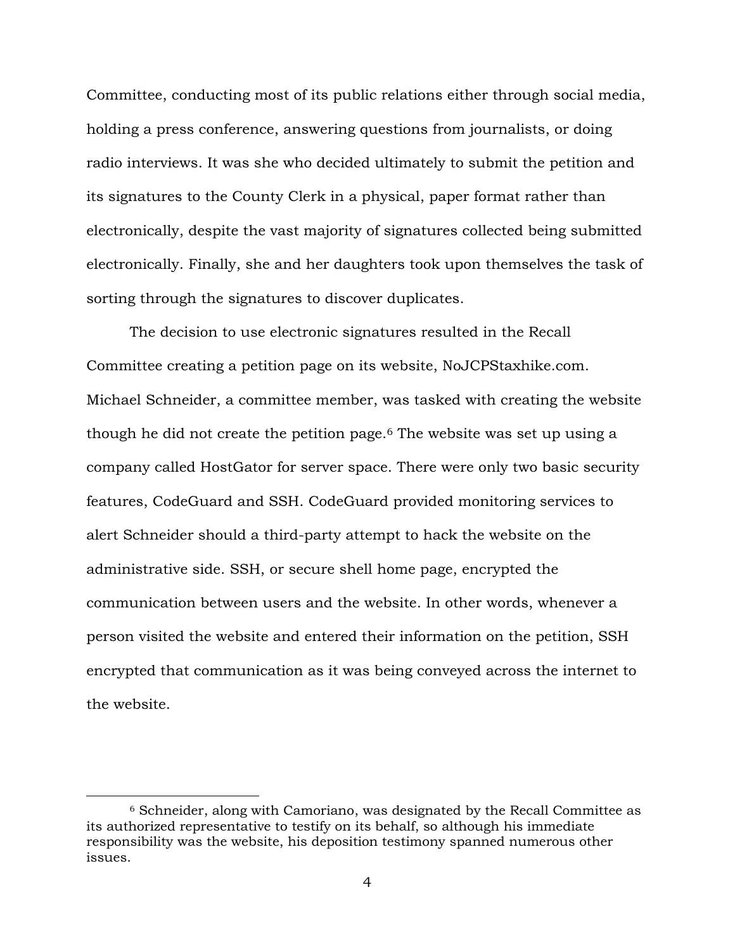Committee, conducting most of its public relations either through social media, holding a press conference, answering questions from journalists, or doing radio interviews. It was she who decided ultimately to submit the petition and its signatures to the County Clerk in a physical, paper format rather than electronically, despite the vast majority of signatures collected being submitted electronically. Finally, she and her daughters took upon themselves the task of sorting through the signatures to discover duplicates.

The decision to use electronic signatures resulted in the Recall Committee creating a petition page on its website, NoJCPStaxhike.com. Michael Schneider, a committee member, was tasked with creating the website though he did not create the petition page.<sup>6</sup> The website was set up using a company called HostGator for server space. There were only two basic security features, CodeGuard and SSH. CodeGuard provided monitoring services to alert Schneider should a third-party attempt to hack the website on the administrative side. SSH, or secure shell home page, encrypted the communication between users and the website. In other words, whenever a person visited the website and entered their information on the petition, SSH encrypted that communication as it was being conveyed across the internet to the website.

<sup>6</sup> Schneider, along with Camoriano, was designated by the Recall Committee as its authorized representative to testify on its behalf, so although his immediate responsibility was the website, his deposition testimony spanned numerous other issues.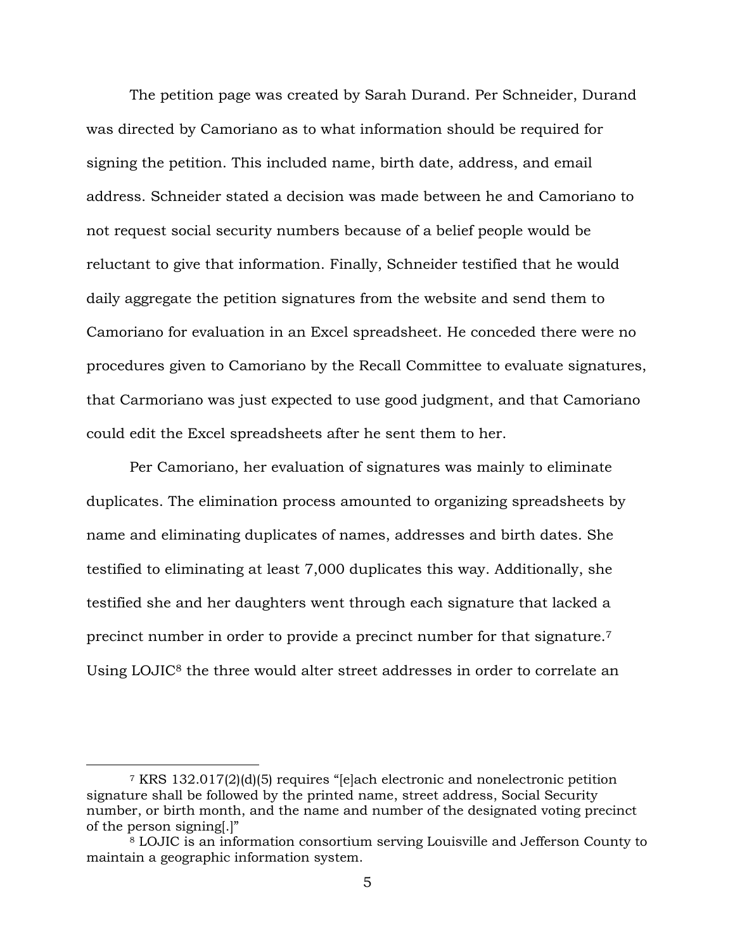The petition page was created by Sarah Durand. Per Schneider, Durand was directed by Camoriano as to what information should be required for signing the petition. This included name, birth date, address, and email address. Schneider stated a decision was made between he and Camoriano to not request social security numbers because of a belief people would be reluctant to give that information. Finally, Schneider testified that he would daily aggregate the petition signatures from the website and send them to Camoriano for evaluation in an Excel spreadsheet. He conceded there were no procedures given to Camoriano by the Recall Committee to evaluate signatures, that Carmoriano was just expected to use good judgment, and that Camoriano could edit the Excel spreadsheets after he sent them to her.

Per Camoriano, her evaluation of signatures was mainly to eliminate duplicates. The elimination process amounted to organizing spreadsheets by name and eliminating duplicates of names, addresses and birth dates. She testified to eliminating at least 7,000 duplicates this way. Additionally, she testified she and her daughters went through each signature that lacked a precinct number in order to provide a precinct number for that signature.<sup>7</sup> Using LOJIC<sup>8</sup> the three would alter street addresses in order to correlate an

<sup>7</sup> KRS 132.017(2)(d)(5) requires "[e]ach electronic and nonelectronic petition signature shall be followed by the printed name, street address, Social Security number, or birth month, and the name and number of the designated voting precinct of the person signing[.]"

<sup>8</sup> LOJIC is an information consortium serving Louisville and Jefferson County to maintain a geographic information system.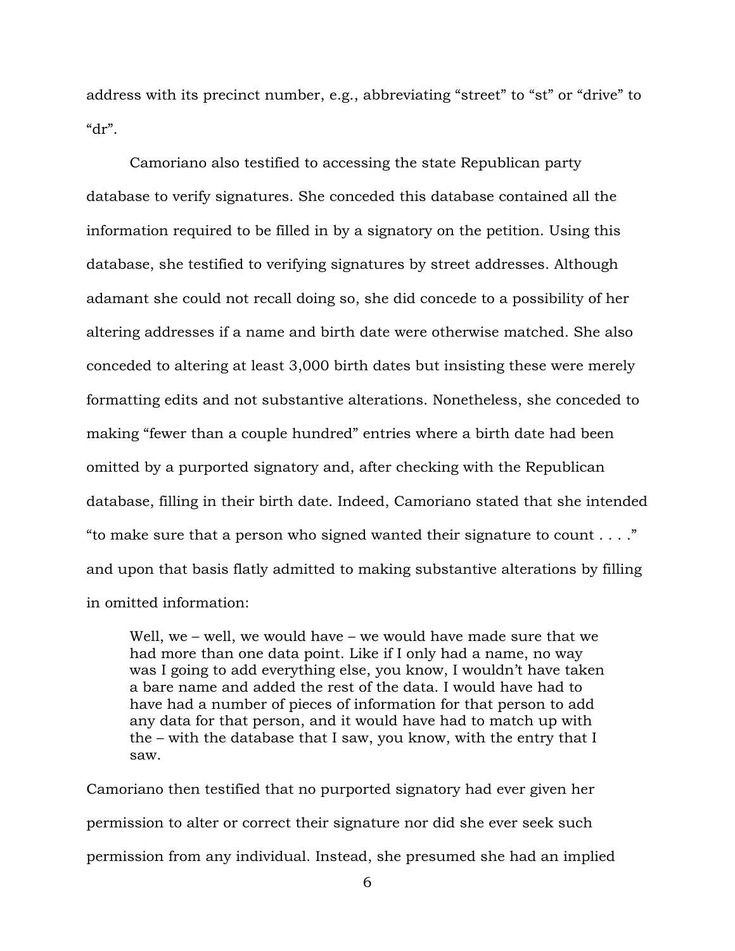address with its precinct number, e.g., abbreviating "street" to "st" or "drive" to " $\text{d}r$ ".

Camoriano also testified to accessing the state Republican party database to verify signatures. She conceded this database contained all the information required to be filled in by a signatory on the petition. Using this database, she testified to verifying signatures by street addresses. Although adamant she could not recall doing so, she did concede to a possibility of her altering addresses if a name and birth date were otherwise matched. She also conceded to altering at least 3,000 birth dates but insisting these were merely formatting edits and not substantive alterations. Nonetheless, she conceded to making "fewer than a couple hundred" entries where a birth date had been omitted by a purported signatory and, after checking with the Republican database, filling in their birth date. Indeed, Camoriano stated that she intended "to make sure that a person who signed wanted their signature to count . . . ." and upon that basis flatly admitted to making substantive alterations by filling in omitted information:

Well, we – well, we would have – we would have made sure that we had more than one data point. Like if I only had a name, no way was I going to add everything else, you know, I wouldn't have taken a bare name and added the rest of the data. I would have had to have had a number of pieces of information for that person to add any data for that person, and it would have had to match up with the – with the database that I saw, you know, with the entry that I saw.

Camoriano then testified that no purported signatory had ever given her permission to alter or correct their signature nor did she ever seek such permission from any individual. Instead, she presumed she had an implied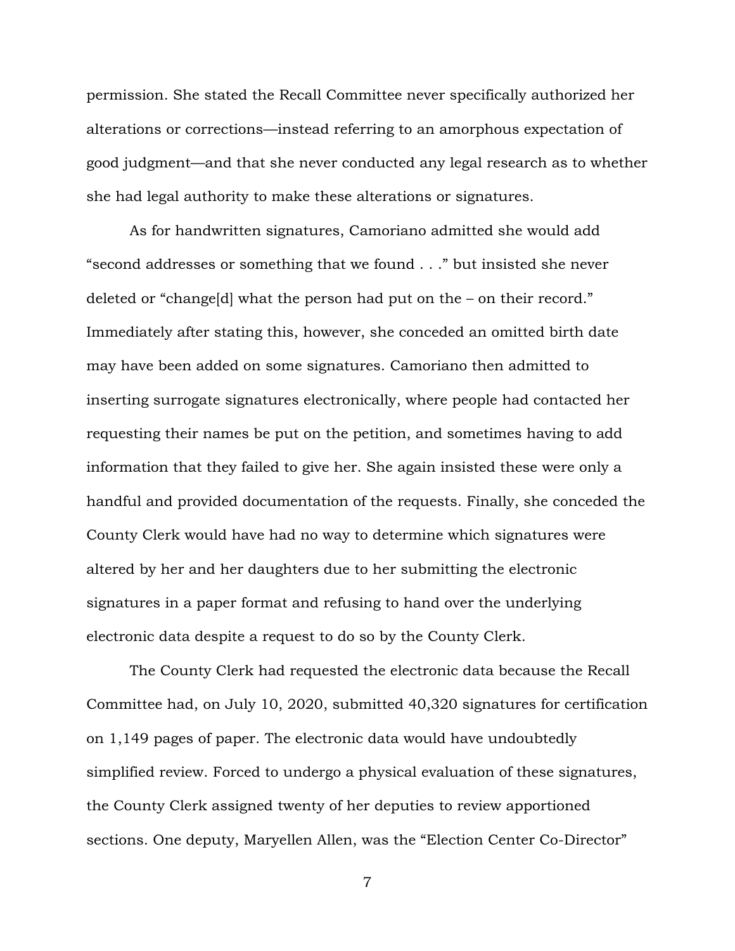permission. She stated the Recall Committee never specifically authorized her alterations or corrections—instead referring to an amorphous expectation of good judgment—and that she never conducted any legal research as to whether she had legal authority to make these alterations or signatures.

As for handwritten signatures, Camoriano admitted she would add "second addresses or something that we found . . ." but insisted she never deleted or "change[d] what the person had put on the – on their record." Immediately after stating this, however, she conceded an omitted birth date may have been added on some signatures. Camoriano then admitted to inserting surrogate signatures electronically, where people had contacted her requesting their names be put on the petition, and sometimes having to add information that they failed to give her. She again insisted these were only a handful and provided documentation of the requests. Finally, she conceded the County Clerk would have had no way to determine which signatures were altered by her and her daughters due to her submitting the electronic signatures in a paper format and refusing to hand over the underlying electronic data despite a request to do so by the County Clerk.

The County Clerk had requested the electronic data because the Recall Committee had, on July 10, 2020, submitted 40,320 signatures for certification on 1,149 pages of paper. The electronic data would have undoubtedly simplified review. Forced to undergo a physical evaluation of these signatures, the County Clerk assigned twenty of her deputies to review apportioned sections. One deputy, Maryellen Allen, was the "Election Center Co-Director"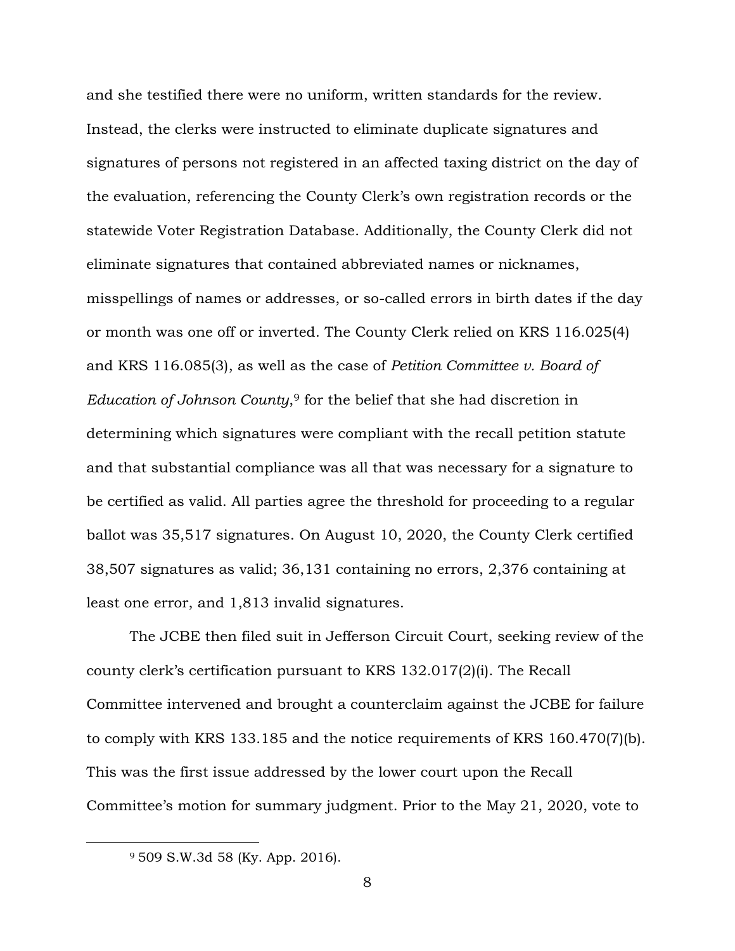and she testified there were no uniform, written standards for the review. Instead, the clerks were instructed to eliminate duplicate signatures and signatures of persons not registered in an affected taxing district on the day of the evaluation, referencing the County Clerk's own registration records or the statewide Voter Registration Database. Additionally, the County Clerk did not eliminate signatures that contained abbreviated names or nicknames, misspellings of names or addresses, or so-called errors in birth dates if the day or month was one off or inverted. The County Clerk relied on KRS 116.025(4) and KRS 116.085(3), as well as the case of *Petition Committee v. Board of Education of Johnson County*, <sup>9</sup> for the belief that she had discretion in determining which signatures were compliant with the recall petition statute and that substantial compliance was all that was necessary for a signature to be certified as valid. All parties agree the threshold for proceeding to a regular ballot was 35,517 signatures. On August 10, 2020, the County Clerk certified 38,507 signatures as valid; 36,131 containing no errors, 2,376 containing at least one error, and 1,813 invalid signatures.

The JCBE then filed suit in Jefferson Circuit Court, seeking review of the county clerk's certification pursuant to KRS 132.017(2)(i). The Recall Committee intervened and brought a counterclaim against the JCBE for failure to comply with KRS 133.185 and the notice requirements of KRS 160.470(7)(b). This was the first issue addressed by the lower court upon the Recall Committee's motion for summary judgment. Prior to the May 21, 2020, vote to

<sup>9</sup> 509 S.W.3d 58 (Ky. App. 2016).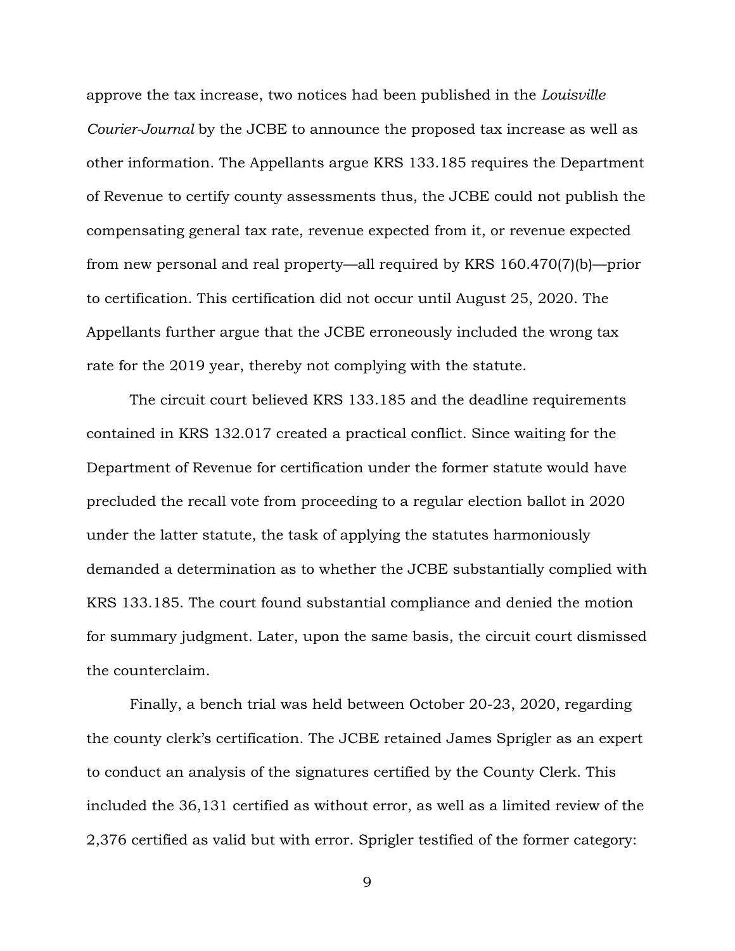approve the tax increase, two notices had been published in the *Louisville Courier-Journal* by the JCBE to announce the proposed tax increase as well as other information. The Appellants argue KRS 133.185 requires the Department of Revenue to certify county assessments thus, the JCBE could not publish the compensating general tax rate, revenue expected from it, or revenue expected from new personal and real property—all required by KRS 160.470(7)(b)—prior to certification. This certification did not occur until August 25, 2020. The Appellants further argue that the JCBE erroneously included the wrong tax rate for the 2019 year, thereby not complying with the statute.

The circuit court believed KRS 133.185 and the deadline requirements contained in KRS 132.017 created a practical conflict. Since waiting for the Department of Revenue for certification under the former statute would have precluded the recall vote from proceeding to a regular election ballot in 2020 under the latter statute, the task of applying the statutes harmoniously demanded a determination as to whether the JCBE substantially complied with KRS 133.185. The court found substantial compliance and denied the motion for summary judgment. Later, upon the same basis, the circuit court dismissed the counterclaim.

Finally, a bench trial was held between October 20-23, 2020, regarding the county clerk's certification. The JCBE retained James Sprigler as an expert to conduct an analysis of the signatures certified by the County Clerk. This included the 36,131 certified as without error, as well as a limited review of the 2,376 certified as valid but with error. Sprigler testified of the former category: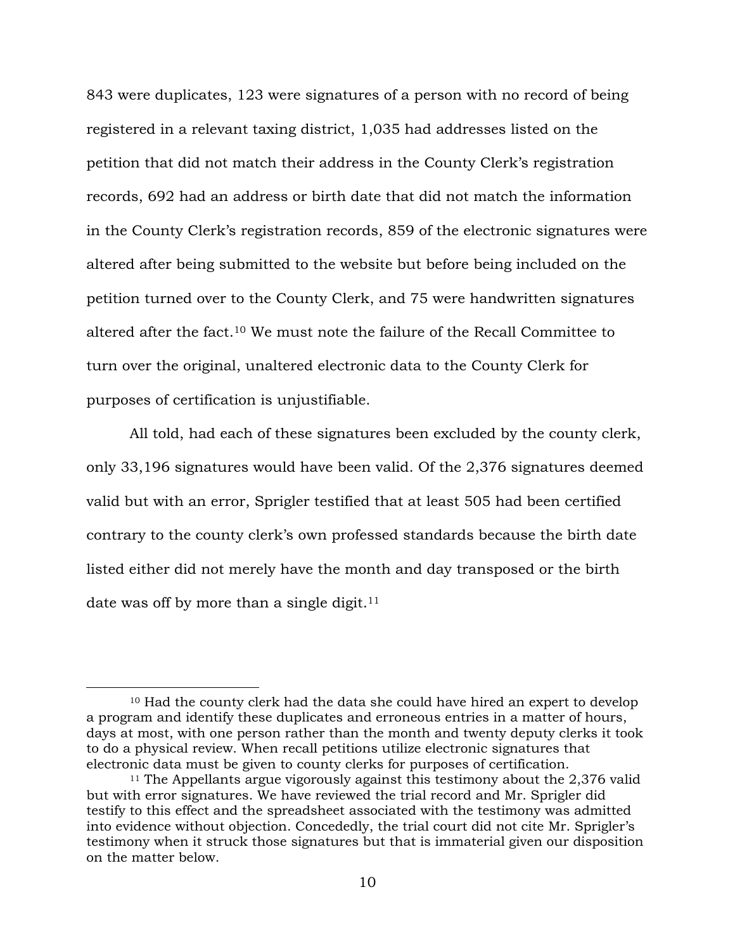843 were duplicates, 123 were signatures of a person with no record of being registered in a relevant taxing district, 1,035 had addresses listed on the petition that did not match their address in the County Clerk's registration records, 692 had an address or birth date that did not match the information in the County Clerk's registration records, 859 of the electronic signatures were altered after being submitted to the website but before being included on the petition turned over to the County Clerk, and 75 were handwritten signatures altered after the fact.<sup>10</sup> We must note the failure of the Recall Committee to turn over the original, unaltered electronic data to the County Clerk for purposes of certification is unjustifiable.

All told, had each of these signatures been excluded by the county clerk, only 33,196 signatures would have been valid. Of the 2,376 signatures deemed valid but with an error, Sprigler testified that at least 505 had been certified contrary to the county clerk's own professed standards because the birth date listed either did not merely have the month and day transposed or the birth date was off by more than a single digit.<sup>11</sup>

<sup>10</sup> Had the county clerk had the data she could have hired an expert to develop a program and identify these duplicates and erroneous entries in a matter of hours, days at most, with one person rather than the month and twenty deputy clerks it took to do a physical review. When recall petitions utilize electronic signatures that electronic data must be given to county clerks for purposes of certification.

<sup>&</sup>lt;sup>11</sup> The Appellants argue vigorously against this testimony about the 2,376 valid but with error signatures. We have reviewed the trial record and Mr. Sprigler did testify to this effect and the spreadsheet associated with the testimony was admitted into evidence without objection. Concededly, the trial court did not cite Mr. Sprigler's testimony when it struck those signatures but that is immaterial given our disposition on the matter below.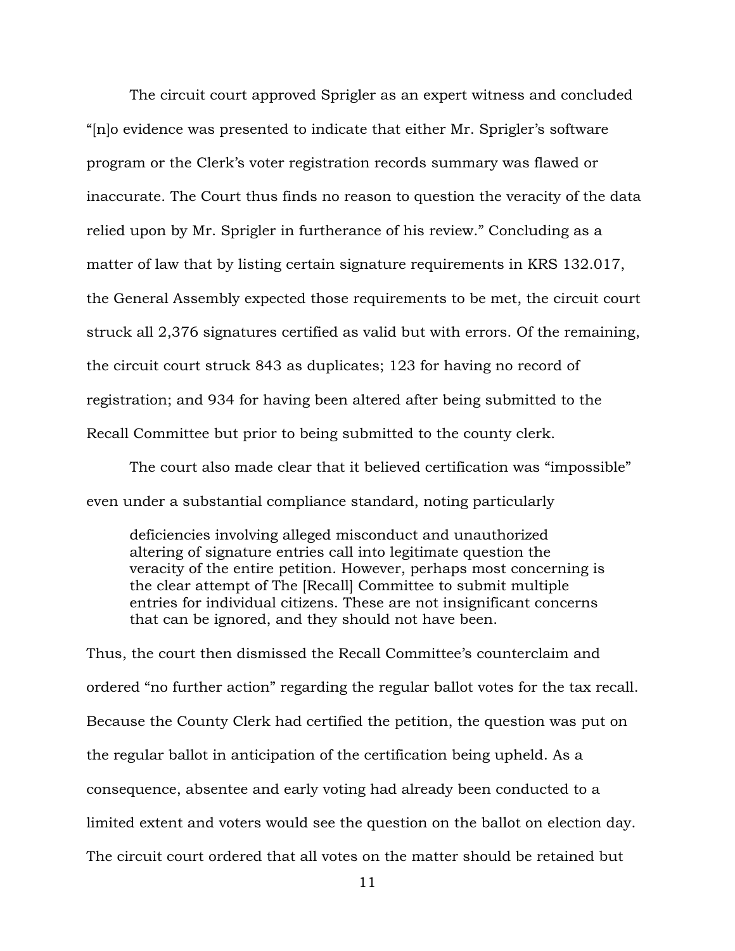The circuit court approved Sprigler as an expert witness and concluded "[n]o evidence was presented to indicate that either Mr. Sprigler's software program or the Clerk's voter registration records summary was flawed or inaccurate. The Court thus finds no reason to question the veracity of the data relied upon by Mr. Sprigler in furtherance of his review." Concluding as a matter of law that by listing certain signature requirements in KRS 132.017, the General Assembly expected those requirements to be met, the circuit court struck all 2,376 signatures certified as valid but with errors. Of the remaining, the circuit court struck 843 as duplicates; 123 for having no record of registration; and 934 for having been altered after being submitted to the Recall Committee but prior to being submitted to the county clerk.

The court also made clear that it believed certification was "impossible" even under a substantial compliance standard, noting particularly

deficiencies involving alleged misconduct and unauthorized altering of signature entries call into legitimate question the veracity of the entire petition. However, perhaps most concerning is the clear attempt of The [Recall] Committee to submit multiple entries for individual citizens. These are not insignificant concerns that can be ignored, and they should not have been.

Thus, the court then dismissed the Recall Committee's counterclaim and ordered "no further action" regarding the regular ballot votes for the tax recall. Because the County Clerk had certified the petition, the question was put on the regular ballot in anticipation of the certification being upheld. As a consequence, absentee and early voting had already been conducted to a limited extent and voters would see the question on the ballot on election day. The circuit court ordered that all votes on the matter should be retained but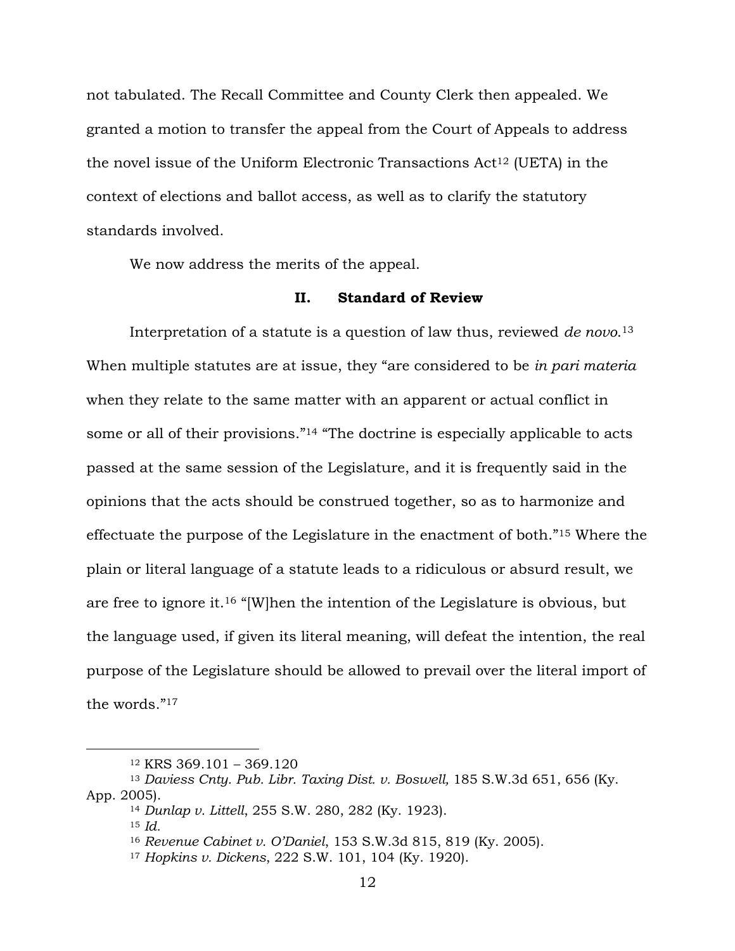not tabulated. The Recall Committee and County Clerk then appealed. We granted a motion to transfer the appeal from the Court of Appeals to address the novel issue of the Uniform Electronic Transactions Act<sup>12</sup> (UETA) in the context of elections and ballot access, as well as to clarify the statutory standards involved.

We now address the merits of the appeal.

# **II. Standard of Review**

Interpretation of a statute is a question of law thus, reviewed *de novo*. 13 When multiple statutes are at issue, they "are considered to be *in pari materia* when they relate to the same matter with an apparent or actual conflict in some or all of their provisions."<sup>14</sup> "The doctrine is especially applicable to acts passed at the same session of the Legislature, and it is frequently said in the opinions that the acts should be construed together, so as to harmonize and effectuate the purpose of the Legislature in the enactment of both."<sup>15</sup> Where the plain or literal language of a statute leads to a ridiculous or absurd result, we are free to ignore it.<sup>16</sup> "[W]hen the intention of the Legislature is obvious, but the language used, if given its literal meaning, will defeat the intention, the real purpose of the Legislature should be allowed to prevail over the literal import of the words."<sup>17</sup>

<sup>12</sup> KRS 369.101 – 369.120

<sup>13</sup> *Daviess Cnty. Pub. Libr. Taxing Dist. v. Boswell,* 185 S.W.3d 651, 656 (Ky. App. 2005).

<sup>14</sup> *Dunlap v. Littell*, 255 S.W. 280, 282 (Ky. 1923).

<sup>15</sup> *Id.*

<sup>16</sup> *Revenue Cabinet v. O'Daniel*, 153 S.W.3d 815, 819 (Ky. 2005).

<sup>17</sup> *Hopkins v. Dickens*, 222 S.W. 101, 104 (Ky. 1920).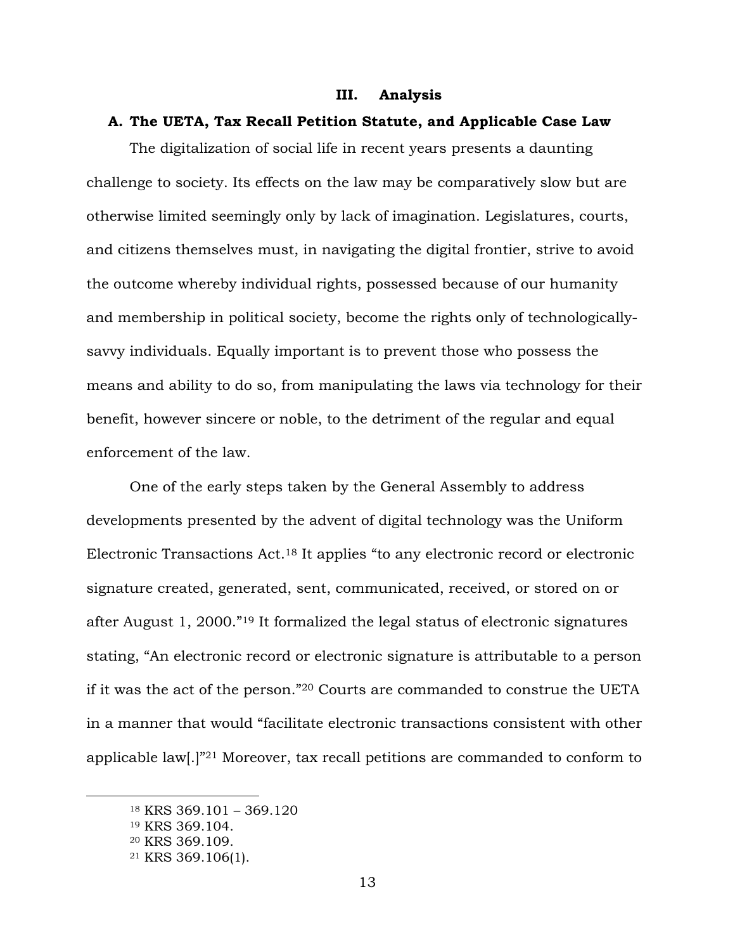#### **III. Analysis**

#### **A. The UETA, Tax Recall Petition Statute, and Applicable Case Law**

The digitalization of social life in recent years presents a daunting challenge to society. Its effects on the law may be comparatively slow but are otherwise limited seemingly only by lack of imagination. Legislatures, courts, and citizens themselves must, in navigating the digital frontier, strive to avoid the outcome whereby individual rights, possessed because of our humanity and membership in political society, become the rights only of technologicallysavvy individuals. Equally important is to prevent those who possess the means and ability to do so, from manipulating the laws via technology for their benefit, however sincere or noble, to the detriment of the regular and equal enforcement of the law.

One of the early steps taken by the General Assembly to address developments presented by the advent of digital technology was the Uniform Electronic Transactions Act.<sup>18</sup> It applies "to any electronic record or electronic signature created, generated, sent, communicated, received, or stored on or after August 1, 2000."<sup>19</sup> It formalized the legal status of electronic signatures stating, "An electronic record or electronic signature is attributable to a person if it was the act of the person."<sup>20</sup> Courts are commanded to construe the UETA in a manner that would "facilitate electronic transactions consistent with other applicable law[.]"<sup>21</sup> Moreover, tax recall petitions are commanded to conform to

<sup>18</sup> KRS 369.101 – 369.120

<sup>19</sup> KRS 369.104.

<sup>20</sup> KRS 369.109.

<sup>21</sup> KRS 369.106(1).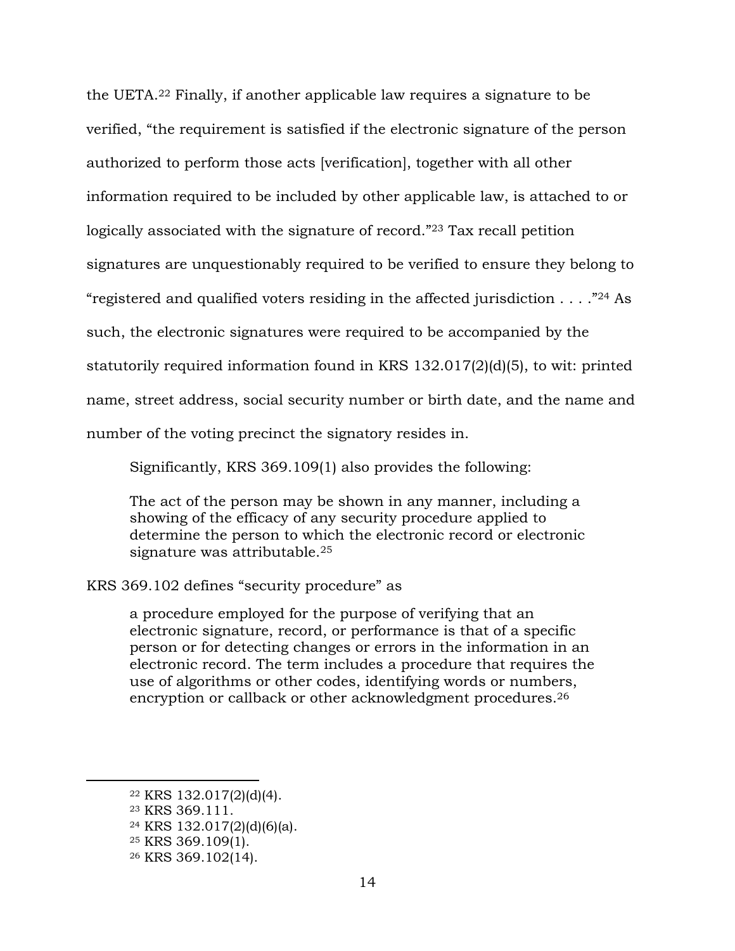the UETA.<sup>22</sup> Finally, if another applicable law requires a signature to be verified, "the requirement is satisfied if the electronic signature of the person authorized to perform those acts [verification], together with all other information required to be included by other applicable law, is attached to or logically associated with the signature of record."<sup>23</sup> Tax recall petition signatures are unquestionably required to be verified to ensure they belong to "registered and qualified voters residing in the affected jurisdiction  $\dots$ ."<sup>24</sup> As such, the electronic signatures were required to be accompanied by the statutorily required information found in KRS 132.017(2)(d)(5), to wit: printed name, street address, social security number or birth date, and the name and number of the voting precinct the signatory resides in.

Significantly, KRS 369.109(1) also provides the following:

The act of the person may be shown in any manner, including a showing of the efficacy of any security procedure applied to determine the person to which the electronic record or electronic signature was attributable.<sup>25</sup>

## KRS 369.102 defines "security procedure" as

a procedure employed for the purpose of verifying that an electronic signature, record, or performance is that of a specific person or for detecting changes or errors in the information in an electronic record. The term includes a procedure that requires the use of algorithms or other codes, identifying words or numbers, encryption or callback or other acknowledgment procedures.<sup>26</sup>

<sup>22</sup> KRS 132.017(2)(d)(4).

<sup>23</sup> KRS 369.111.

<sup>24</sup> KRS 132.017(2)(d)(6)(a).

<sup>25</sup> KRS 369.109(1).

<sup>26</sup> KRS 369.102(14).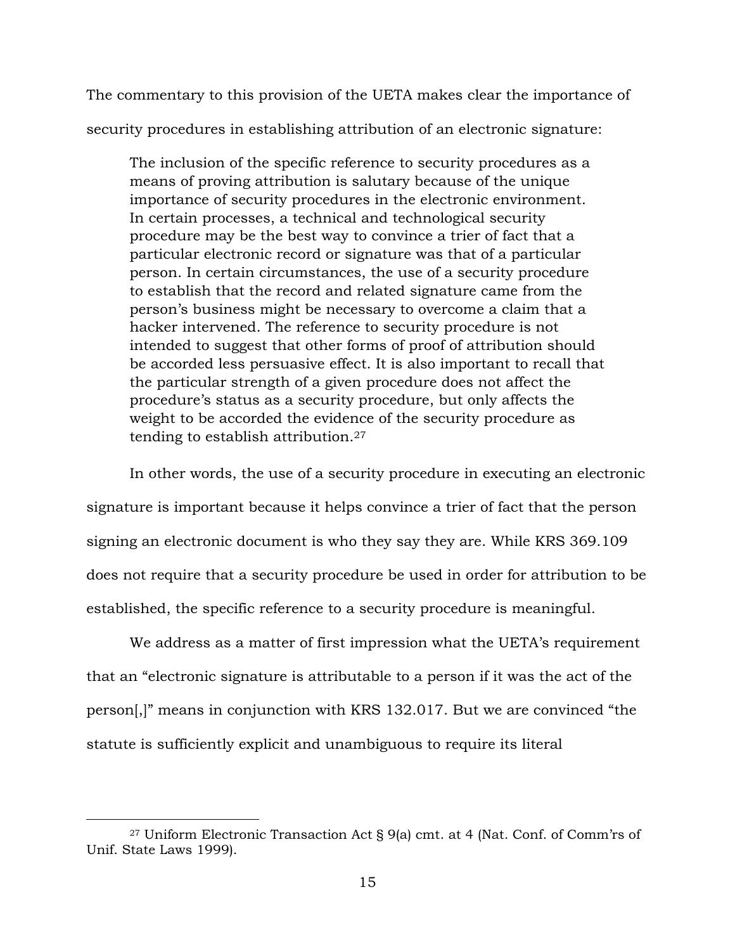The commentary to this provision of the UETA makes clear the importance of security procedures in establishing attribution of an electronic signature:

The inclusion of the specific reference to security procedures as a means of proving attribution is salutary because of the unique importance of security procedures in the electronic environment. In certain processes, a technical and technological security procedure may be the best way to convince a trier of fact that a particular electronic record or signature was that of a particular person. In certain circumstances, the use of a security procedure to establish that the record and related signature came from the person's business might be necessary to overcome a claim that a hacker intervened. The reference to security procedure is not intended to suggest that other forms of proof of attribution should be accorded less persuasive effect. It is also important to recall that the particular strength of a given procedure does not affect the procedure's status as a security procedure, but only affects the weight to be accorded the evidence of the security procedure as tending to establish attribution.<sup>27</sup>

In other words, the use of a security procedure in executing an electronic signature is important because it helps convince a trier of fact that the person signing an electronic document is who they say they are. While KRS 369.109 does not require that a security procedure be used in order for attribution to be established, the specific reference to a security procedure is meaningful.

We address as a matter of first impression what the UETA's requirement that an "electronic signature is attributable to a person if it was the act of the person[,]" means in conjunction with KRS 132.017. But we are convinced "the statute is sufficiently explicit and unambiguous to require its literal

<sup>&</sup>lt;sup>27</sup> Uniform Electronic Transaction Act § 9(a) cmt. at 4 (Nat. Conf. of Comm'rs of Unif. State Laws 1999).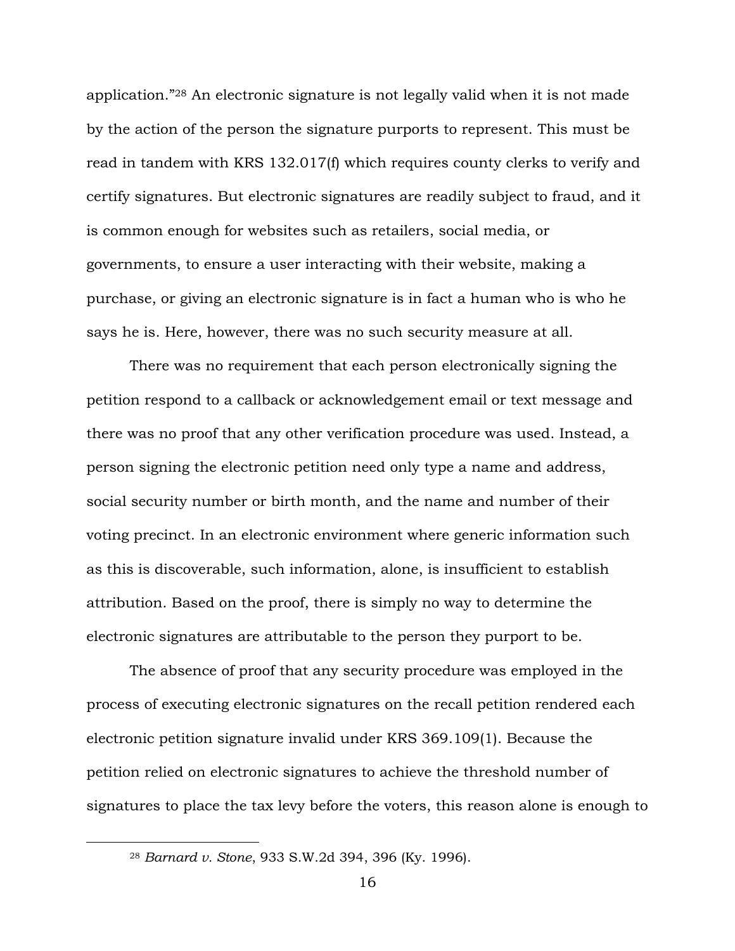application."<sup>28</sup> An electronic signature is not legally valid when it is not made by the action of the person the signature purports to represent. This must be read in tandem with KRS 132.017(f) which requires county clerks to verify and certify signatures. But electronic signatures are readily subject to fraud, and it is common enough for websites such as retailers, social media, or governments, to ensure a user interacting with their website, making a purchase, or giving an electronic signature is in fact a human who is who he says he is. Here, however, there was no such security measure at all.

There was no requirement that each person electronically signing the petition respond to a callback or acknowledgement email or text message and there was no proof that any other verification procedure was used. Instead, a person signing the electronic petition need only type a name and address, social security number or birth month, and the name and number of their voting precinct. In an electronic environment where generic information such as this is discoverable, such information, alone, is insufficient to establish attribution. Based on the proof, there is simply no way to determine the electronic signatures are attributable to the person they purport to be.

The absence of proof that any security procedure was employed in the process of executing electronic signatures on the recall petition rendered each electronic petition signature invalid under KRS 369.109(1). Because the petition relied on electronic signatures to achieve the threshold number of signatures to place the tax levy before the voters, this reason alone is enough to

<sup>28</sup> *Barnard v. Stone*, 933 S.W.2d 394, 396 (Ky. 1996).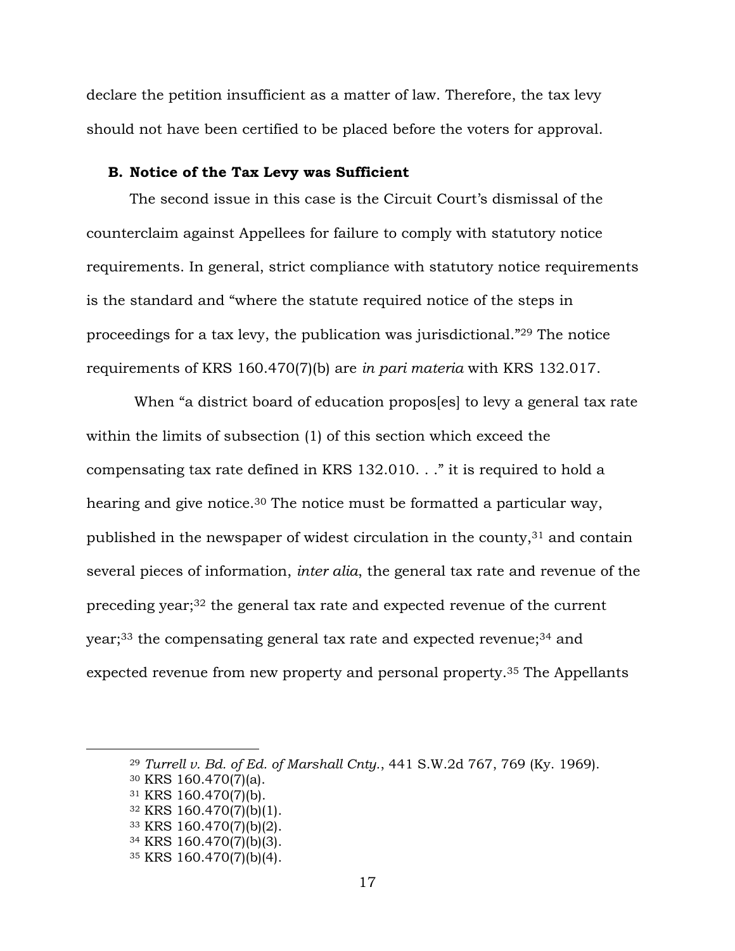declare the petition insufficient as a matter of law. Therefore, the tax levy should not have been certified to be placed before the voters for approval.

## **B. Notice of the Tax Levy was Sufficient**

The second issue in this case is the Circuit Court's dismissal of the counterclaim against Appellees for failure to comply with statutory notice requirements. In general, strict compliance with statutory notice requirements is the standard and "where the statute required notice of the steps in proceedings for a tax levy, the publication was jurisdictional."<sup>29</sup> The notice requirements of KRS 160.470(7)(b) are *in pari materia* with KRS 132.017.

When "a district board of education propos[es] to levy a general tax rate within the limits of subsection (1) of this section which exceed the compensating tax rate defined in KRS 132.010. . ." it is required to hold a hearing and give notice.<sup>30</sup> The notice must be formatted a particular way, published in the newspaper of widest circulation in the county,  $31$  and contain several pieces of information, *inter alia*, the general tax rate and revenue of the preceding year;<sup>32</sup> the general tax rate and expected revenue of the current year;<sup>33</sup> the compensating general tax rate and expected revenue;<sup>34</sup> and expected revenue from new property and personal property.<sup>35</sup> The Appellants

<sup>29</sup> *Turrell v. Bd. of Ed. of Marshall Cnty.*, 441 S.W.2d 767, 769 (Ky. 1969).

<sup>30</sup> KRS 160.470(7)(a).

<sup>31</sup> KRS 160.470(7)(b).

<sup>32</sup> KRS 160.470(7)(b)(1).

<sup>33</sup> KRS 160.470(7)(b)(2).

<sup>34</sup> KRS 160.470(7)(b)(3).

<sup>35</sup> KRS 160.470(7)(b)(4).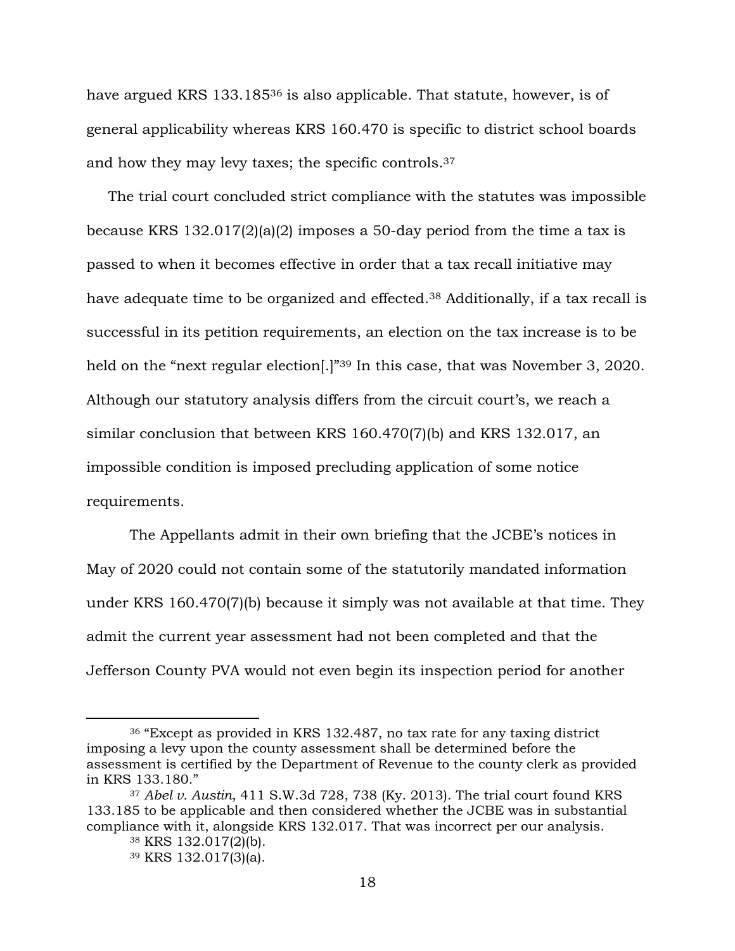have argued KRS 133.185<sup>36</sup> is also applicable. That statute, however, is of general applicability whereas KRS 160.470 is specific to district school boards and how they may levy taxes; the specific controls.<sup>37</sup>

The trial court concluded strict compliance with the statutes was impossible because KRS 132.017(2)(a)(2) imposes a 50-day period from the time a tax is passed to when it becomes effective in order that a tax recall initiative may have adequate time to be organized and effected.<sup>38</sup> Additionally, if a tax recall is successful in its petition requirements, an election on the tax increase is to be held on the "next regular election<sup>[1]</sup><sup>39</sup> In this case, that was November 3, 2020. Although our statutory analysis differs from the circuit court's, we reach a similar conclusion that between KRS 160.470(7)(b) and KRS 132.017, an impossible condition is imposed precluding application of some notice requirements.

The Appellants admit in their own briefing that the JCBE's notices in May of 2020 could not contain some of the statutorily mandated information under KRS 160.470(7)(b) because it simply was not available at that time. They admit the current year assessment had not been completed and that the Jefferson County PVA would not even begin its inspection period for another

<sup>36</sup> "Except as provided in KRS 132.487, no tax rate for any taxing district imposing a levy upon the county assessment shall be determined before the assessment is certified by the Department of Revenue to the county clerk as provided in KRS 133.180."

<sup>37</sup> *Abel v. Austin*, 411 S.W.3d 728, 738 (Ky. 2013). The trial court found KRS 133.185 to be applicable and then considered whether the JCBE was in substantial compliance with it, alongside KRS 132.017. That was incorrect per our analysis.

<sup>38</sup> KRS 132.017(2)(b).

<sup>39</sup> KRS 132.017(3)(a).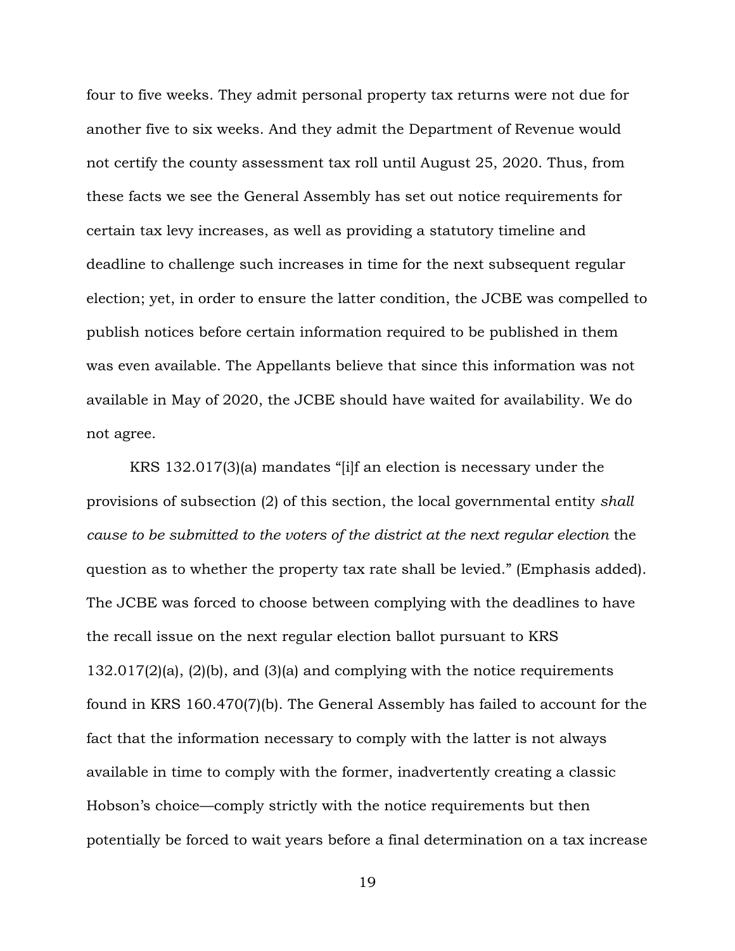four to five weeks. They admit personal property tax returns were not due for another five to six weeks. And they admit the Department of Revenue would not certify the county assessment tax roll until August 25, 2020. Thus, from these facts we see the General Assembly has set out notice requirements for certain tax levy increases, as well as providing a statutory timeline and deadline to challenge such increases in time for the next subsequent regular election; yet, in order to ensure the latter condition, the JCBE was compelled to publish notices before certain information required to be published in them was even available. The Appellants believe that since this information was not available in May of 2020, the JCBE should have waited for availability. We do not agree.

KRS 132.017(3)(a) mandates "[i]f an election is necessary under the provisions of subsection (2) of this section, the local governmental entity *shall cause to be submitted to the voters of the district at the next regular election* the question as to whether the property tax rate shall be levied." (Emphasis added). The JCBE was forced to choose between complying with the deadlines to have the recall issue on the next regular election ballot pursuant to KRS 132.017(2)(a), (2)(b), and (3)(a) and complying with the notice requirements found in KRS 160.470(7)(b). The General Assembly has failed to account for the fact that the information necessary to comply with the latter is not always available in time to comply with the former, inadvertently creating a classic Hobson's choice—comply strictly with the notice requirements but then potentially be forced to wait years before a final determination on a tax increase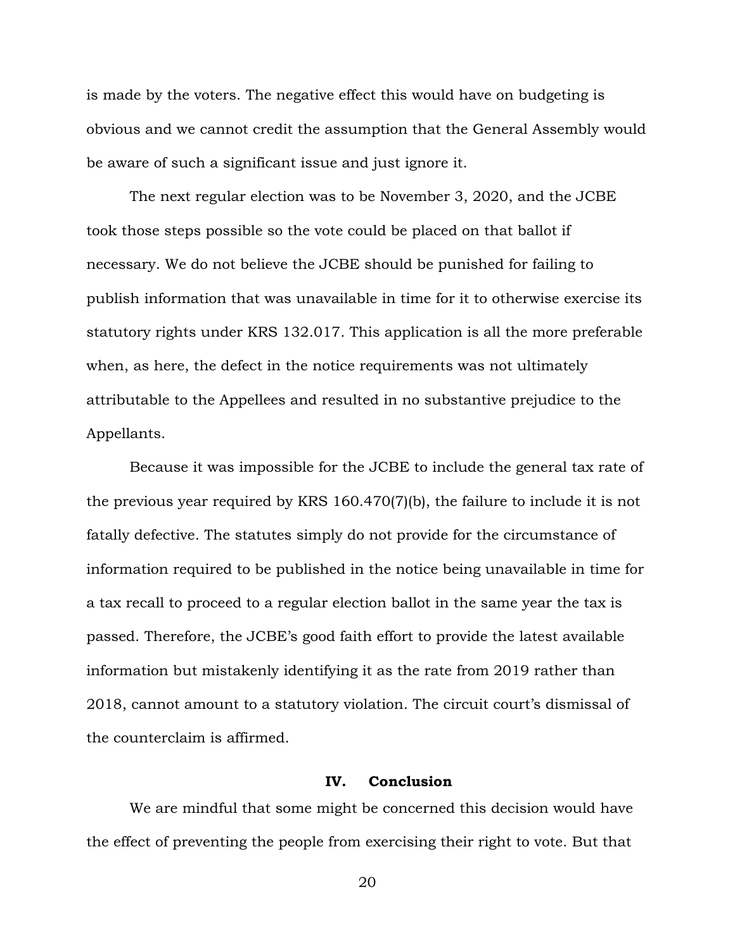is made by the voters. The negative effect this would have on budgeting is obvious and we cannot credit the assumption that the General Assembly would be aware of such a significant issue and just ignore it.

The next regular election was to be November 3, 2020, and the JCBE took those steps possible so the vote could be placed on that ballot if necessary. We do not believe the JCBE should be punished for failing to publish information that was unavailable in time for it to otherwise exercise its statutory rights under KRS 132.017. This application is all the more preferable when, as here, the defect in the notice requirements was not ultimately attributable to the Appellees and resulted in no substantive prejudice to the Appellants.

Because it was impossible for the JCBE to include the general tax rate of the previous year required by KRS 160.470(7)(b), the failure to include it is not fatally defective. The statutes simply do not provide for the circumstance of information required to be published in the notice being unavailable in time for a tax recall to proceed to a regular election ballot in the same year the tax is passed. Therefore, the JCBE's good faith effort to provide the latest available information but mistakenly identifying it as the rate from 2019 rather than 2018, cannot amount to a statutory violation. The circuit court's dismissal of the counterclaim is affirmed.

## **IV. Conclusion**

We are mindful that some might be concerned this decision would have the effect of preventing the people from exercising their right to vote. But that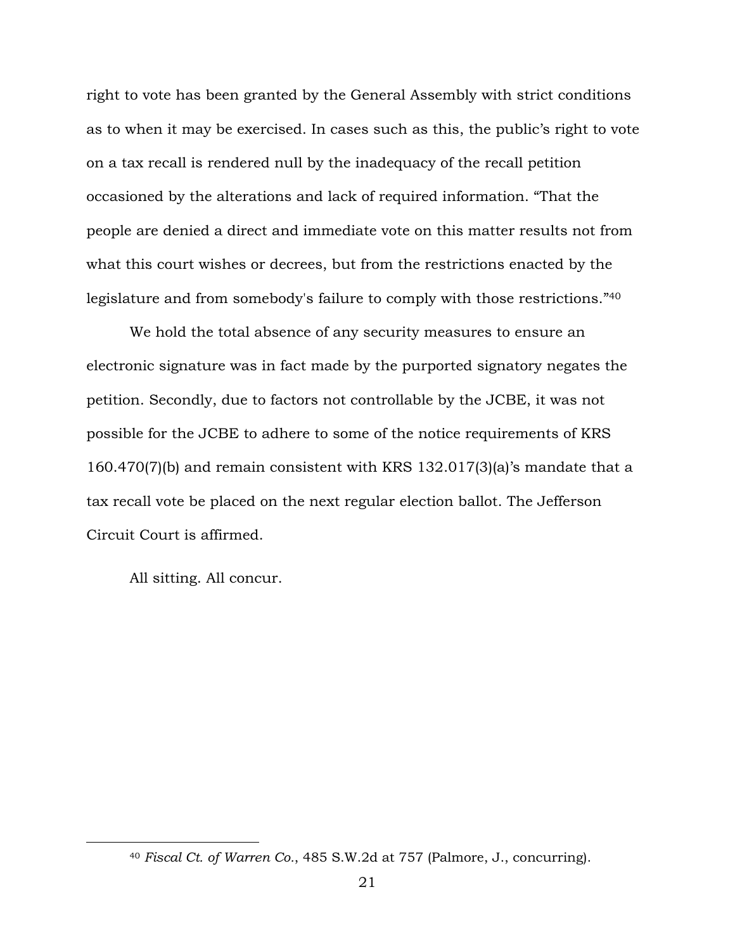right to vote has been granted by the General Assembly with strict conditions as to when it may be exercised. In cases such as this, the public's right to vote on a tax recall is rendered null by the inadequacy of the recall petition occasioned by the alterations and lack of required information. "That the people are denied a direct and immediate vote on this matter results not from what this court wishes or decrees, but from the restrictions enacted by the legislature and from somebody's failure to comply with those restrictions." 40

We hold the total absence of any security measures to ensure an electronic signature was in fact made by the purported signatory negates the petition. Secondly, due to factors not controllable by the JCBE, it was not possible for the JCBE to adhere to some of the notice requirements of KRS 160.470(7)(b) and remain consistent with KRS 132.017(3)(a)'s mandate that a tax recall vote be placed on the next regular election ballot. The Jefferson Circuit Court is affirmed.

All sitting. All concur.

<sup>40</sup> *Fiscal Ct. of Warren Co.*, 485 S.W.2d at 757 (Palmore, J., concurring).